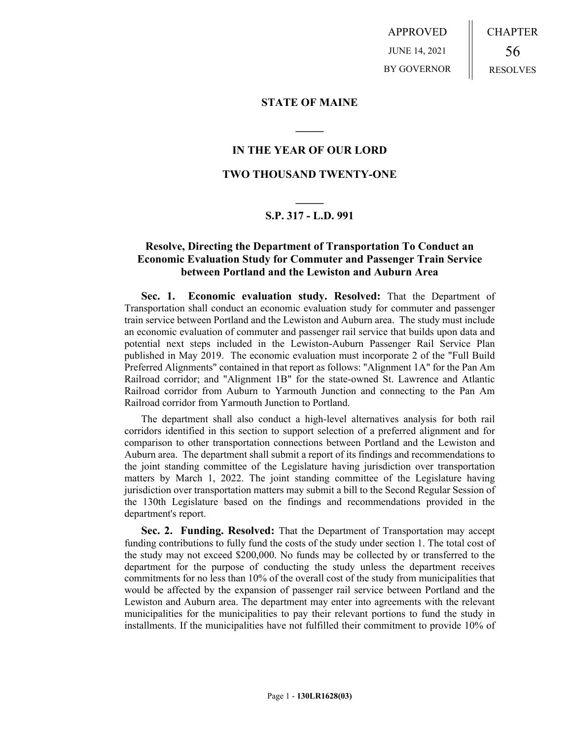APPROVED JUNE 14, 2021 BY GOVERNOR CHAPTER 56 RESOLVES

## **STATE OF MAINE**

## **IN THE YEAR OF OUR LORD**

**\_\_\_\_\_**

## **TWO THOUSAND TWENTY-ONE**

# **\_\_\_\_\_ S.P. 317 - L.D. 991**

## **Resolve, Directing the Department of Transportation To Conduct an Economic Evaluation Study for Commuter and Passenger Train Service between Portland and the Lewiston and Auburn Area**

**Sec. 1. Economic evaluation study. Resolved:** That the Department of Transportation shall conduct an economic evaluation study for commuter and passenger train service between Portland and the Lewiston and Auburn area. The study must include an economic evaluation of commuter and passenger rail service that builds upon data and potential next steps included in the Lewiston-Auburn Passenger Rail Service Plan published in May 2019. The economic evaluation must incorporate 2 of the "Full Build Preferred Alignments" contained in that report as follows: "Alignment 1A" for the Pan Am Railroad corridor; and "Alignment 1B" for the state-owned St. Lawrence and Atlantic Railroad corridor from Auburn to Yarmouth Junction and connecting to the Pan Am Railroad corridor from Yarmouth Junction to Portland.

The department shall also conduct a high-level alternatives analysis for both rail corridors identified in this section to support selection of a preferred alignment and for comparison to other transportation connections between Portland and the Lewiston and Auburn area. The department shall submit a report of its findings and recommendations to the joint standing committee of the Legislature having jurisdiction over transportation matters by March 1, 2022. The joint standing committee of the Legislature having jurisdiction over transportation matters may submit a bill to the Second Regular Session of the 130th Legislature based on the findings and recommendations provided in the department's report.

**Sec. 2. Funding. Resolved:** That the Department of Transportation may accept funding contributions to fully fund the costs of the study under section 1. The total cost of the study may not exceed \$200,000. No funds may be collected by or transferred to the department for the purpose of conducting the study unless the department receives commitments for no less than 10% of the overall cost of the study from municipalities that would be affected by the expansion of passenger rail service between Portland and the Lewiston and Auburn area. The department may enter into agreements with the relevant municipalities for the municipalities to pay their relevant portions to fund the study in installments. If the municipalities have not fulfilled their commitment to provide 10% of